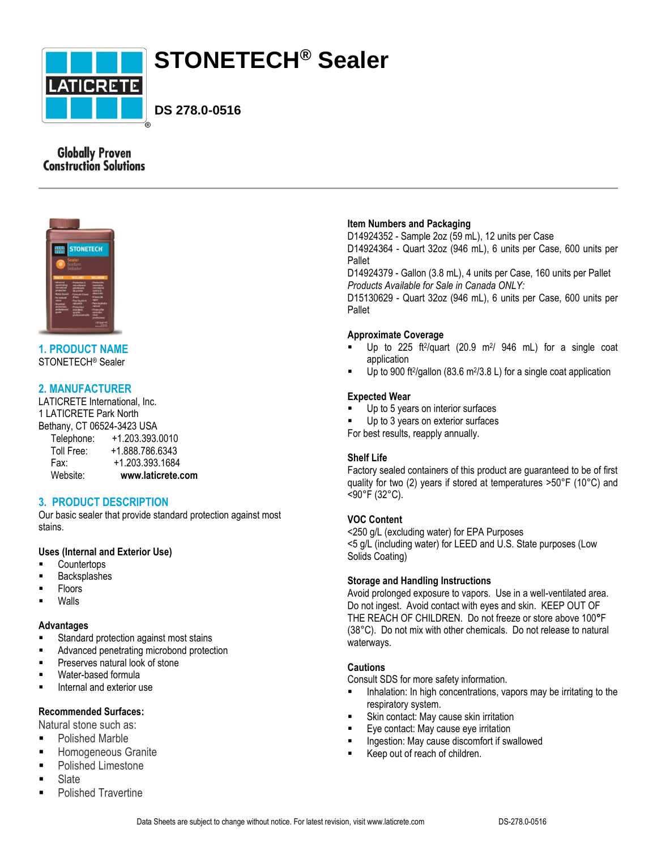

# **STONETECH® Sealer**

**DS 278.0-0516**

# **Globally Proven Construction Solutions**



**1. PRODUCT NAME** STONETECH® Sealer

# **2. MANUFACTURER**

LATICRETE International, Inc. 1 LATICRETE Park North Bethany, CT 06524-3423 USA Telephone: +1.203.393.0010 Toll Free: +1.888.786.6343

 Fax: +1.203.393.1684 Website: **www.laticrete.com**

# **3. PRODUCT DESCRIPTION**

Our basic sealer that provide standard protection against most stains.

# **Uses (Internal and Exterior Use)**

- **Countertops**
- Backsplashes
- Floors
- Walls

#### **Advantages**

- Standard protection against most stains
- Advanced penetrating microbond protection
- **Preserves natural look of stone**
- Water-based formula
- Internal and exterior use

# **Recommended Surfaces:**

Natural stone such as:

- Polished Marble
- **Homogeneous Granite**
- **Polished Limestone**
- Slate
- **Polished Travertine**

## **Item Numbers and Packaging**

D14924352 - Sample 2oz (59 mL), 12 units per Case D14924364 - Quart 32oz (946 mL), 6 units per Case, 600 units per Pallet

D14924379 - Gallon (3.8 mL), 4 units per Case, 160 units per Pallet *Products Available for Sale in Canada ONLY:*

D15130629 - Quart 32oz (946 mL), 6 units per Case, 600 units per Pallet

# **Approximate Coverage**

- $\blacksquare$  Up to 225 ft<sup>2</sup>/quart (20.9 m<sup>2</sup>/ 946 mL) for a single coat application
- $\blacksquare$  Up to 900 ft<sup>2</sup>/gallon (83.6 m<sup>2</sup>/3.8 L) for a single coat application

## **Expected Wear**

- Up to 5 years on interior surfaces
- Up to 3 years on exterior surfaces

For best results, reapply annually.

#### **Shelf Life**

Factory sealed containers of this product are guaranteed to be of first quality for two (2) years if stored at temperatures >50°F (10°C) and <90°F (32°C).

# **VOC Content**

<250 g/L (excluding water) for EPA Purposes <5 g/L (including water) for LEED and U.S. State purposes (Low Solids Coating)

# **Storage and Handling Instructions**

Avoid prolonged exposure to vapors. Use in a well-ventilated area. Do not ingest. Avoid contact with eyes and skin. KEEP OUT OF THE REACH OF CHILDREN. Do not freeze or store above 100**°**F (38°C). Do not mix with other chemicals. Do not release to natural waterways.

# **Cautions**

Consult SDS for more safety information.

- Inhalation: In high concentrations, vapors may be irritating to the respiratory system.
- **Skin contact: May cause skin irritation**
- Eye contact: May cause eye irritation
- Ingestion: May cause discomfort if swallowed
- Keep out of reach of children.